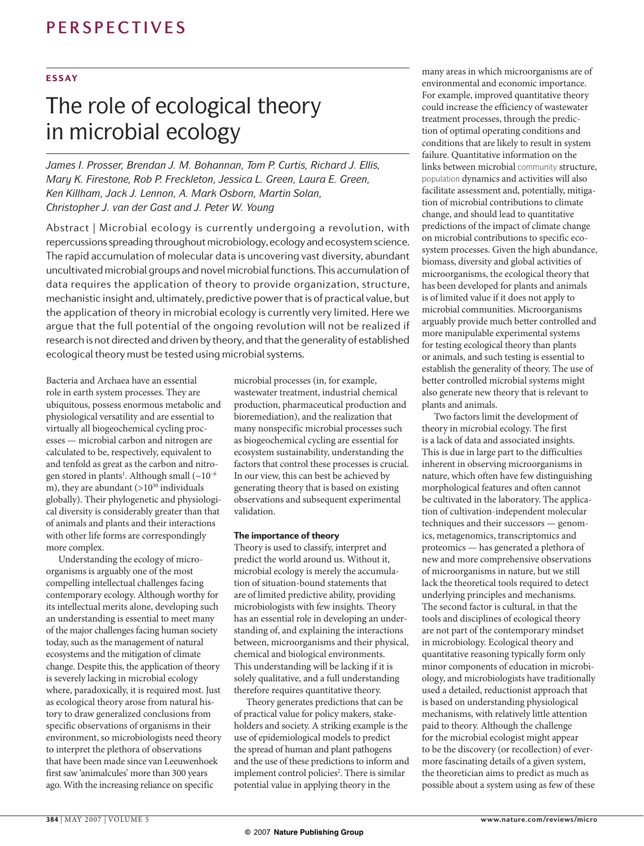# **ESSAY**

# The role of ecological theory in microbial ecology

*James I. Prosser, Brendan J. M. Bohannan, Tom P. Curtis, Richard J. Ellis, Mary K. Firestone, Rob P. Freckleton, Jessica L. Green, Laura E. Green, Ken Killham, Jack J. Lennon, A. Mark Osborn, Martin Solan, Christopher J. van der Gast and J. Peter W. Young*

Abstract | Microbial ecology is currently undergoing a revolution, with repercussions spreading throughout microbiology, ecology and ecosystem science. The rapid accumulation of molecular data is uncovering vast diversity, abundant uncultivated microbial groups and novel microbial functions. This accumulation of data requires the application of theory to provide organization, structure, mechanistic insight and, ultimately, predictive power that is of practical value, but the application of theory in microbial ecology is currently very limited. Here we argue that the full potential of the ongoing revolution will not be realized if research is not directed and driven by theory, and that the generality of established ecological theory must be tested using microbial systems.

Bacteria and Archaea have an essential role in earth system processes. They are ubiquitous, possess enormous metabolic and physiological versatility and are essential to virtually all biogeochemical cycling processes — microbial carbon and nitrogen are calculated to be, respectively, equivalent to and tenfold as great as the carbon and nitrogen stored in plants<sup>1</sup>. Although small (~10<sup>-6</sup> m), they are abundant  $(>10^{30}$  individuals globally). Their phylogenetic and physiological diversity is considerably greater than that of animals and plants and their interactions with other life forms are correspondingly more complex.

Understanding the ecology of microorganisms is arguably one of the most compelling intellectual challenges facing contemporary ecology. Although worthy for its intellectual merits alone, developing such an understanding is essential to meet many of the major challenges facing human society today, such as the management of natural ecosystems and the mitigation of climate change. Despite this, the application of theory is severely lacking in microbial ecology where, paradoxically, it is required most. Just as ecological theory arose from natural history to draw generalized conclusions from specific observations of organisms in their environment, so microbiologists need theory to interpret the plethora of observations that have been made since van Leeuwenhoek first saw 'animalcules' more than 300 years ago. With the increasing reliance on specific

microbial processes (in, for example, wastewater treatment, industrial chemical production, pharmaceutical production and bioremediation), and the realization that many nonspecific microbial processes such as biogeochemical cycling are essential for ecosystem sustainability, understanding the factors that control these processes is crucial. In our view, this can best be achieved by generating theory that is based on existing observations and subsequent experimental validation.

### The importance of theory

Theory is used to classify, interpret and predict the world around us. Without it, microbial ecology is merely the accumulation of situation-bound statements that are of limited predictive ability, providing microbiologists with few insights. Theory has an essential role in developing an understanding of, and explaining the interactions between, microorganisms and their physical, chemical and biological environments. This understanding will be lacking if it is solely qualitative, and a full understanding therefore requires quantitative theory.

Theory generates predictions that can be of practical value for policy makers, stakeholders and society. A striking example is the use of epidemiological models to predict the spread of human and plant pathogens and the use of these predictions to inform and implement control policies<sup>2</sup>. There is similar potential value in applying theory in the

many areas in which microorganisms are of environmental and economic importance. For example, improved quantitative theory could increase the efficiency of wastewater treatment processes, through the prediction of optimal operating conditions and conditions that are likely to result in system failure. Quantitative information on the links between microbial community structure, population dynamics and activities will also facilitate assessment and, potentially, mitigation of microbial contributions to climate change, and should lead to quantitative predictions of the impact of climate change on microbial contributions to specific ecosystem processes. Given the high abundance, biomass, diversity and global activities of microorganisms, the ecological theory that has been developed for plants and animals is of limited value if it does not apply to microbial communities. Microorganisms arguably provide much better controlled and more manipulable experimental systems for testing ecological theory than plants or animals, and such testing is essential to establish the generality of theory. The use of better controlled microbial systems might also generate new theory that is relevant to plants and animals.

Two factors limit the development of theory in microbial ecology. The first is a lack of data and associated insights. This is due in large part to the difficulties inherent in observing microorganisms in nature, which often have few distinguishing morphological features and often cannot be cultivated in the laboratory. The application of cultivation-independent molecular techniques and their successors — genomics, metagenomics, transcriptomics and proteomics — has generated a plethora of new and more comprehensive observations of microorganisms in nature, but we still lack the theoretical tools required to detect underlying principles and mechanisms. The second factor is cultural, in that the tools and disciplines of ecological theory are not part of the contemporary mindset in microbiology. Ecological theory and quantitative reasoning typically form only minor components of education in microbiology, and microbiologists have traditionally used a detailed, reductionist approach that is based on understanding physiological mechanisms, with relatively little attention paid to theory. Although the challenge for the microbial ecologist might appear to be the discovery (or recollection) of evermore fascinating details of a given system, the theoretician aims to predict as much as possible about a system using as few of these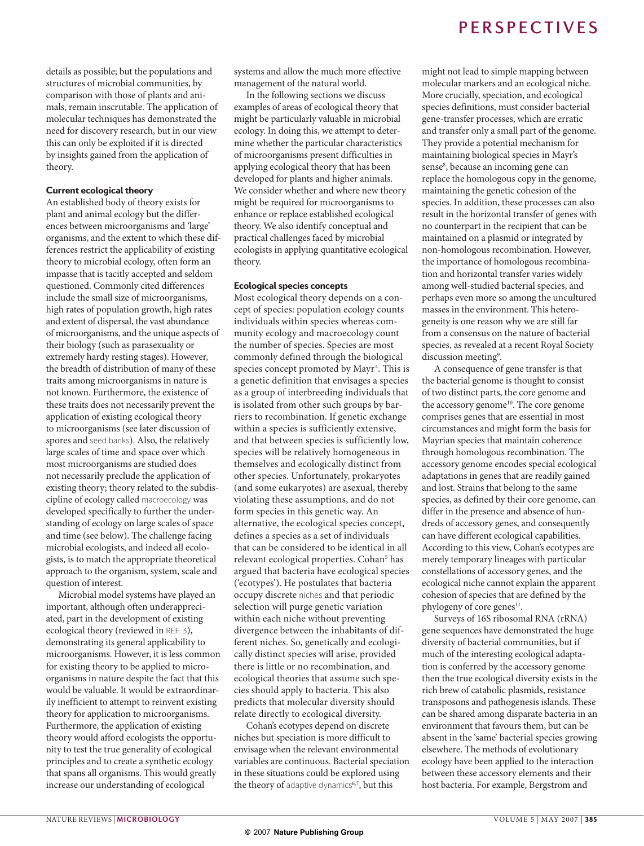# **P F R S P E C T I V E S**

details as possible; but the populations and structures of microbial communities, by comparison with those of plants and animals, remain inscrutable. The application of molecular techniques has demonstrated the need for discovery research, but in our view this can only be exploited if it is directed by insights gained from the application of theory.

## Current ecological theory

An established body of theory exists for plant and animal ecology but the differences between microorganisms and 'large' organisms, and the extent to which these differences restrict the applicability of existing theory to microbial ecology, often form an impasse that is tacitly accepted and seldom questioned. Commonly cited differences include the small size of microorganisms, high rates of population growth, high rates and extent of dispersal, the vast abundance of microorganisms, and the unique aspects of their biology (such as parasexuality or extremely hardy resting stages). However, the breadth of distribution of many of these traits among microorganisms in nature is not known. Furthermore, the existence of these traits does not necessarily prevent the application of existing ecological theory to microorganisms (see later discussion of spores and seed banks). Also, the relatively large scales of time and space over which most microorganisms are studied does not necessarily preclude the application of existing theory; theory related to the subdiscipline of ecology called macroecology was developed specifically to further the understanding of ecology on large scales of space and time (see below). The challenge facing microbial ecologists, and indeed all ecologists, is to match the appropriate theoretical approach to the organism, system, scale and question of interest.

Microbial model systems have played an important, although often underappreciated, part in the development of existing ecological theory (reviewed in REF. 3), demonstrating its general applicability to microorganisms. However, it is less common for existing theory to be applied to microorganisms in nature despite the fact that this would be valuable. It would be extraordinarily inefficient to attempt to reinvent existing theory for application to microorganisms. Furthermore, the application of existing theory would afford ecologists the opportunity to test the true generality of ecological principles and to create a synthetic ecology that spans all organisms. This would greatly increase our understanding of ecological

systems and allow the much more effective management of the natural world.

In the following sections we discuss examples of areas of ecological theory that might be particularly valuable in microbial ecology. In doing this, we attempt to determine whether the particular characteristics of microorganisms present difficulties in applying ecological theory that has been developed for plants and higher animals. We consider whether and where new theory might be required for microorganisms to enhance or replace established ecological theory. We also identify conceptual and practical challenges faced by microbial ecologists in applying quantitative ecological theory.

### Ecological species concepts

Most ecological theory depends on a concept of species: population ecology counts individuals within species whereas community ecology and macroecology count the number of species. Species are most commonly defined through the biological species concept promoted by Mayr<sup>4</sup>. This is a genetic definition that envisages a species as a group of interbreeding individuals that is isolated from other such groups by barriers to recombination. If genetic exchange within a species is sufficiently extensive, and that between species is sufficiently low, species will be relatively homogeneous in themselves and ecologically distinct from other species. Unfortunately, prokaryotes (and some eukaryotes) are asexual, thereby violating these assumptions, and do not form species in this genetic way. An alternative, the ecological species concept, defines a species as a set of individuals that can be considered to be identical in all relevant ecological properties. Cohan<sup>5</sup> has argued that bacteria have ecological species ('ecotypes'). He postulates that bacteria occupy discrete niches and that periodic selection will purge genetic variation within each niche without preventing divergence between the inhabitants of different niches. So, genetically and ecologically distinct species will arise, provided there is little or no recombination, and ecological theories that assume such species should apply to bacteria. This also predicts that molecular diversity should relate directly to ecological diversity.

Cohan's ecotypes depend on discrete niches but speciation is more difficult to envisage when the relevant environmental variables are continuous. Bacterial speciation in these situations could be explored using the theory of adaptive dynamics<sup>6,7</sup>, but this

might not lead to simple mapping between molecular markers and an ecological niche. More crucially, speciation, and ecological species definitions, must consider bacterial gene-transfer processes, which are erratic and transfer only a small part of the genome. They provide a potential mechanism for maintaining biological species in Mayr's sense<sup>8</sup>, because an incoming gene can replace the homologous copy in the genome, maintaining the genetic cohesion of the species. In addition, these processes can also result in the horizontal transfer of genes with no counterpart in the recipient that can be maintained on a plasmid or integrated by non-homologous recombination. However, the importance of homologous recombination and horizontal transfer varies widely among well-studied bacterial species, and perhaps even more so among the uncultured masses in the environment. This heterogeneity is one reason why we are still far from a consensus on the nature of bacterial species, as revealed at a recent Royal Society discussion meeting<sup>9</sup>.

A consequence of gene transfer is that the bacterial genome is thought to consist of two distinct parts, the core genome and the accessory genome<sup>10</sup>. The core genome comprises genes that are essential in most circumstances and might form the basis for Mayrian species that maintain coherence through homologous recombination. The accessory genome encodes special ecological adaptations in genes that are readily gained and lost. Strains that belong to the same species, as defined by their core genome, can differ in the presence and absence of hundreds of accessory genes, and consequently can have different ecological capabilities. According to this view, Cohan's ecotypes are merely temporary lineages with particular constellations of accessory genes, and the ecological niche cannot explain the apparent cohesion of species that are defined by the phylogeny of core genes<sup>11</sup>.

Surveys of 16S ribosomal RNA (rRNA) gene sequences have demonstrated the huge diversity of bacterial communities, but if much of the interesting ecological adaptation is conferred by the accessory genome then the true ecological diversity exists in the rich brew of catabolic plasmids, resistance transposons and pathogenesis islands. These can be shared among disparate bacteria in an environment that favours them, but can be absent in the 'same' bacterial species growing elsewhere. The methods of evolutionary ecology have been applied to the interaction between these accessory elements and their host bacteria. For example, Bergstrom and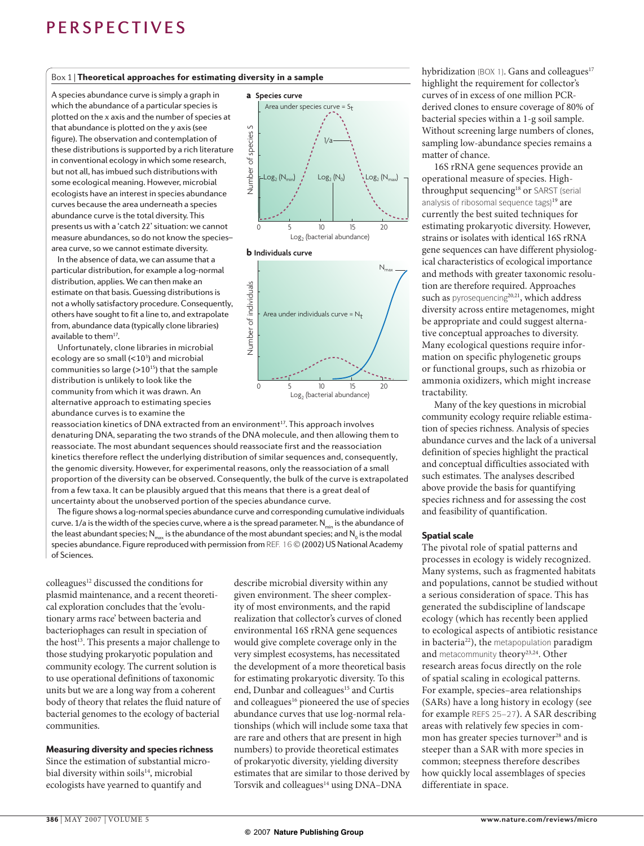# Box 1 | Theoretical approaches for estimating diversity in a sample

A species abundance curve is simply a graph in which the abundance of a particular species is plotted on the *x* axis and the number of species at that abundance is plotted on the *y* axis(see figure). The observation and contemplation of these distributions is supported by a rich literature in conventional ecology in which some research, but not all, hasimbued such distributions with some ecological meaning. However, microbial ecologists have an interest in species abundance curves because the area underneath a species abundance curve is the total diversity. This presents us with a 'catch 22'situation: we cannot measure abundances, so do not know the speciesarea curve, so we cannot estimate diversity.

In the absence of data, we can assume that a particular distribution, for example a log-normal distribution, applies. We can then make an estimate on that basis. Guessing distributions is not a wholly satisfactory procedure.Consequently, others have sought to fit a line to, and extrapolate from, abundance data (typically clone libraries) available to them $^{17}$ .

Unfortunately, clone libraries in microbial ecology are so small (<10<sup>3</sup>) and microbial communities so large (>10<sup>15</sup>) that the sample distribution is unlikely to look like the community from which it was drawn. An alternative approach to estimating species abundance curves is to examine the

reassociation kinetics of DNA extracted from an environment<sup>17</sup>. This approach involves denaturing DNA, separating the two strands of the DNA molecule, and then allowing them to reassociate. The most abundant sequences should reassociate first and the reassociation kinetics therefore reflect the underlying distribution of similar sequences and, consequently, the genomic diversity. However, for experimental reasons, only the reassociation of a small proportion of the diversity can be observed. Consequently, the bulk of the curve is extrapolated from a few taxa. It can be plausibly argued that this means that there is a great deal of uncertainty about the unobserved portion of the species abundance curve.

**b Individuals curve**

**a** Species curve<br>
Area under s<br>
Area under s<br>  $\frac{90}{2}$ <br>  $\frac{1}{2}$ <br>  $\frac{1}{2}$ <br>  $\frac{1}{2}$ <br>  $\frac{1}{2}$ <br>  $\frac{1}{2}$ <br>  $\frac{1}{2}$ <br>  $\frac{1}{2}$ <br>  $\frac{1}{2}$ <br>  $\frac{1}{2}$ <br>  $\frac{1}{2}$ <br>  $\frac{1}{2}$ <br>  $\frac{1}{2}$ <br>  $\frac{1}{2}$ <br>  $\frac{1}{2}$ <br>  $\frac{1}{2}$ 

Number of species S

Log<sub>2</sub> (bacterial abundance)

1/a

0 5 10 15 20

 $Log<sub>2</sub> (N<sub>0</sub>)$  ,  $Log<sub>2</sub> (N<sub>0</sub>)$ 

 $N_{n}$ 

Area under individuals curve =  $N<sub>t</sub>$ 

Area under species curve =  $S_t$ 

Log<sub>2</sub> (bacterial abundance) 0 5 10 15 20

The figure shows a log-normalspecies abundance curve and corresponding cumulative individuals curve. 1/a is the width of the species curve, where a is the spread parameter.  $N_{min}$  is the abundance of the least abundant species;  $N_{\text{max}}$  is the abundance of the most abundant species; and  $N_{\text{o}}$  is the modal species abundance. Figure reproduced with permission from REF.  $16 \odot (2002)$  US National Academy of Sciences.

colleagues<sup>12</sup> discussed the conditions for plasmid maintenance, and a recent theoretical exploration concludes that the 'evolutionary arms race' between bacteria and bacteriophages can result in speciation of the host 13 . This presents a major challenge to those studying prokaryotic population and community ecology. The current solution is to use operational definitions of taxonomic units but we are a long way from a coherent body of theory that relates the fluid nature of bacterial genomes to the ecology of bacterial communities.

# Measuring diversity and species richness

Since the estimation of substantial microbial diversity within soils<sup>14</sup>, microbial ecologists have yearned to quantify and

describe microbial diversity within any given environment. The sheer complexity of most environments, and the rapid realization that collector's curves of cloned environmental 16S rRNA gene sequences would give complete coverage only in the very simplest ecosystems, has necessitated the development of a more theoretical basis for estimating prokaryotic diversity. To this end, Dunbar and colleagues<sup>15</sup> and Curtis and colleagues<sup>16</sup> pioneered the use of species abundance curves that use log-normal relationships (which will include some taxa that are rare and others that are present in high numbers) to provide theoretical estimates of prokaryotic diversity, yielding diversity estimates that are similar to those derived by Torsvik and colleagues<sup>14</sup> using DNA-DNA

hybridization (BOX 1). Gans and colleagues<sup>17</sup> highlight the requirement for collector's curves of in excess of one million PCRderived clones to ensure coverage of 80% of bacterial species within a 1-g soil sample. Without screening large numbers of clones, sampling low-abundance species remains a matter of chance.

16S rRNA gene sequences provide an operational measure of species. Highthroughput sequencing<sup>18</sup> or SARST (serial analysis of ribosomal sequence tags)<sup>19</sup> are currently the best suited techniques for estimating prokaryotic diversity. However, strains or isolates with identical 16S rRNA gene sequences can have different physiological characteristics of ecological importance and methods with greater taxonomic resolution are therefore required. Approaches such as pyrosequencing<sup>20,21</sup>, which address diversity across entire metagenomes, might be appropriate and could suggest alternative conceptual approaches to diversity. Many ecological questions require information on specific phylogenetic groups or functional groups, such as rhizobia or ammonia oxidizers, which might increase tractability.

Many of the key questions in microbial community ecology require reliable estimation of species richness. Analysis of species abundance curves and the lack of a universal definition of species highlight the practical and conceptual difficulties associated with such estimates. The analyses described above provide the basis for quantifying species richness and for assessing the cost and feasibility of quantification.

# Spatial scale

The pivotal role of spatial patterns and processes in ecology is widely recognized. Many systems, such as fragmented habitats and populations, cannot be studied without a serious consideration of space. This has generated the subdiscipline of landscape ecology (which has recently been applied to ecological aspects of antibiotic resistance in bacteria<sup>22</sup>), the metapopulation paradigm and metacommunity theory<sup>23,24</sup>. Other research areas focus directly on the role of spatial scaling in ecological patterns. For example, species–area relationships (SARs) have a long history in ecology (see for example REFS 25–27). A SAR describing areas with relatively few species in common has greater species turnover<sup>28</sup> and is steeper than a SAR with more species in common; steepness therefore describes how quickly local assemblages of species differentiate in space.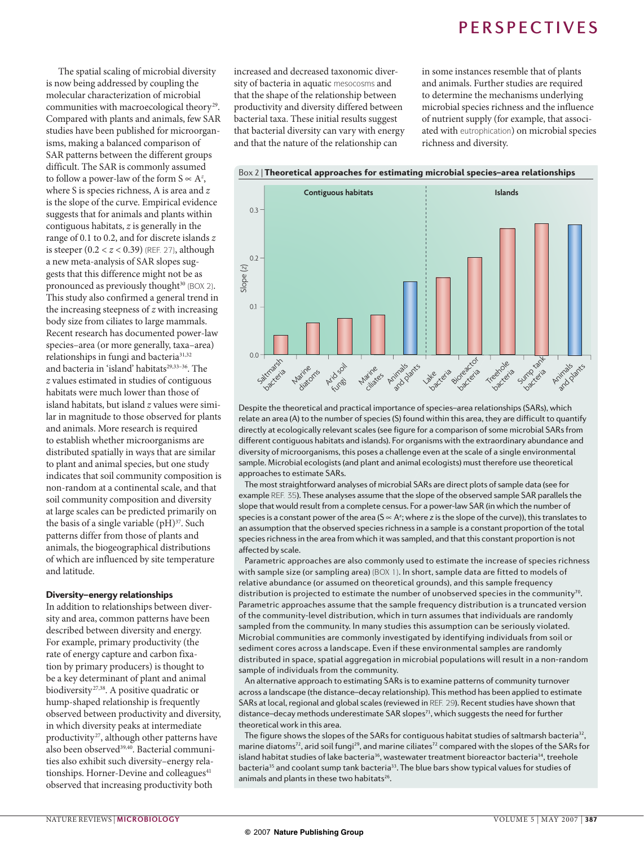# **P F R S P E C T I V E S**

The spatial scaling of microbial diversity is now being addressed by coupling the molecular characterization of microbial communities with macroecological theory<sup>29</sup>. Compared with plants and animals, few SAR studies have been published for microorganisms, making a balanced comparison of SAR patterns between the different groups difficult. The SAR is commonly assumed to follow a power-law of the form  $S \propto A^z$ , where S is species richness, A is area and z is the slope of the curve. Empirical evidence suggests that for animals and plants within contiguous habitats,  $z$  is generally in the range of 0.1 to 0.2, and for discrete islands z is steeper  $(0.2 < z < 0.39)$  (REF. 27), although a new meta-analysis of SAR slopes suggests that this difference might not be as pronounced as previously thought <sup>30</sup> (BOX 2). This study also confirmed a general trend in the increasing steepness of  $z$  with increasing body size from ciliates to large mammals. Recent research has documented power-law species–area (or more generally, taxa–area) relationships in fungi and bacteria<sup>31,32</sup> and bacteria in 'island' habitats<sup>29,33–36</sup>. The z values estimated in studies of contiguous habitats were much lower than those of island habitats, but island  $z$  values were similar in magnitude to those observed for plants and animals. More research is required to establish whether microorganisms are distributed spatially in ways that are similar to plant and animal species, but one study indicates that soil community composition is non-random at a continental scale, and that soil community composition and diversity at large scales can be predicted primarily on the basis of a single variable (pH)<sup>37</sup>. Such patterns differ from those of plants and animals, the biogeographical distributions of which are influenced by site temperature and latitude.

### Diversity–energy relationships

In addition to relationships between diversity and area, common patterns have been described between diversity and energy. For example, primary productivity (the rate of energy capture and carbon fixation by primary producers) is thought to be a key determinant of plant and animal biodiversity 27,38 . A positive quadratic or hump-shaped relationship is frequently observed between productivity and diversity, in which diversity peaks at intermediate productivity<sup>27</sup>, although other patterns have also been observed<sup>39,40</sup>. Bacterial communities also exhibit such diversity–energy relationships. Horner-Devine and colleagues<sup>41</sup> observed that increasing productivity both

increased and decreased taxonomic diversity of bacteria in aquatic mesocosms and that the shape of the relationship between productivity and diversity differed between bacterial taxa. These initial results suggest that bacterial diversity can vary with energy and that the nature of the relationship can

in some instances resemble that of plants and animals. Further studies are required to determine the mechanisms underlying microbial species richness and the influence of nutrient supply (for example, that associated with eutrophication) on microbial species richness and diversity.



Despite the theoretical and practical importance of species-area relationships (SARs), which relate an area (A) to the number of species (S) found within this area, they are difficult to quantify directly at ecologically relevant scales (see figure for a comparison of some microbial SARs from different contiguous habitats and islands). For organisms with the extraordinary abundance and diversity of microorganisms, this poses a challenge even at the scale of a single environmental sample. Microbial ecologists (and plant and animal ecologists) must therefore use theoretical approaches to estimate SARs.

The most straightforward analyses of microbial SARs are direct plots of sample data (see for example REF. 35). These analyses assume that the slope of the observed sample SAR parallels the slope that would result from a complete census. For a power-law SAR (in which the number of species is a constant power of the area (S ∝ A<sup>z</sup>; where *z* is the slope of the curve)), this translates to an assumption that the observed species richness in a sample is a constant proportion of the total species richness in the area from which it was sampled, and that this constant proportion is not affected by scale.

Parametric approaches are also commonly used to estimate the increase of species richness with sample size (or sampling area) (BOX 1). In short, sample data are fitted to models of relative abundance (or assumed on theoretical grounds), and this sample frequency distribution is projected to estimate the number of unobserved species in the community<sup>70</sup>. Parametric approaches assume that the sample frequency distribution is a truncated version of the community-level distribution, which in turn assumes that individuals are randomly sampled from the community. In many studies this assumption can be seriously violated. Microbial communities are commonly investigated by identifying individuals from soil or sediment cores across a landscape. Even if these environmental samples are randomly distributed in space, spatial aggregation in microbial populations will result in a non-random sample of individuals from the community.

An alternative approach to estimating SARs is to examine patterns of community turnover across a landscape (the distance–decay relationship). This method has been applied to estimate SARs at local, regional and global scales (reviewed in REF. 29). Recent studies have shown that distance-decay methods underestimate SAR slopes<sup>71</sup>, which suggests the need for further theoretical work in this area.

The figure shows the slopes of the SARs for contiguous habitat studies of saltmarsh bacteria<sup>32</sup>, marine diatoms<sup>72</sup>, arid soil fungi<sup>29</sup>, and marine ciliates<sup>72</sup> compared with the slopes of the SARs for island habitat studies of lake bacteria<sup>36</sup>, wastewater treatment bioreactor bacteria<sup>34</sup>, treehole bacteria<sup>35</sup> and coolant sump tank bacteria<sup>33</sup>. The blue bars show typical values for studies of animals and plants in these two habitats<sup>26</sup>.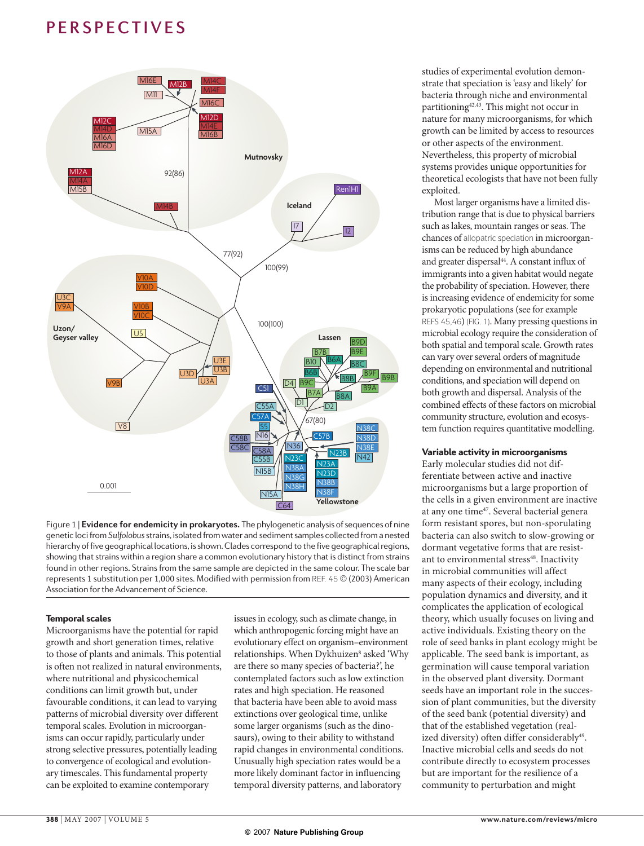

Figure 1 | **Evidence for endemicity in prokaryotes.** The phylogenetic analysis ofsequences of nine genetic loci from Sulfolobus strains, isolated from water and sediment samples collected from a nested hierarchy of five geographical locations, is shown. Clades correspond to the five geographical regions, showing that strains within a region share a common evolutionary history that is distinct from strains found in other regions. Strains from the same sample are depicted in the same colour. The scale bar represents 1 substitution per 1,000 sites. Modified with permission from REF.  $45 \circ (2003)$  American Association for the Advancement of Science.

# Temporal scales

Microorganisms have the potential for rapid growth and short generation times, relative to those of plants and animals. This potential is often not realized in natural environments, where nutritional and physicochemical conditions can limit growth but, under favourable conditions, it can lead to varying patterns of microbial diversity over different temporal scales. Evolution in microorganisms can occur rapidly, particularly under strong selective pressures, potentially leading to convergence of ecological and evolutionary timescales. This fundamental property can be exploited to examine contemporary

issues in ecology, such as climate change, in which anthropogenic forcing might have an evolutionary effect on organism–environment relationships. When Dykhuizen<sup>8</sup> asked 'Why are there so many species of bacteria?', he contemplated factors such as low extinction rates and high speciation. He reasoned that bacteria have been able to avoid mass extinctions over geological time, unlike some larger organisms (such as the dinosaurs), owing to their ability to withstand rapid changes in environmental conditions. Unusually high speciation rates would be a more likely dominant factor in influencing temporal diversity patterns, and laboratory

studies of experimental evolution demonstrate that speciation is 'easy and likely' for bacteria through niche and environmental partitioning42,43 . This might not occur in nature for many microorganisms, for which growth can be limited by access to resources or other aspects of the environment. Nevertheless, this property of microbial systems provides unique opportunities for theoretical ecologists that have not been fully exploited.

Most larger organisms have a limited distribution range that is due to physical barriers such as lakes, mountain ranges or seas. The chances of allopatric speciation in microorganisms can be reduced by high abundance and greater dispersal 44 . A constant influx of immigrants into a given habitat would negate the probability of speciation. However, there is increasing evidence of endemicity for some prokaryotic populations(see for example REFS 45,46) (FIG. 1). Many pressing questions in microbial ecology require the consideration of both spatial and temporal scale. Growth rates can vary over several orders of magnitude depending on environmental and nutritional conditions, and speciation will depend on both growth and dispersal. Analysis of the combined effects of these factors on microbial community structure, evolution and ecosystem function requires quantitative modelling.

# Variable activity in microorganisms

Early molecular studies did not differentiate between active and inactive microorganisms but a large proportion of the cells in a given environment are inactive at any one time<sup>47</sup>. Several bacterial genera form resistant spores, but non-sporulating bacteria can also switch to slow-growing or dormant vegetative forms that are resistant to environmental stress<sup>48</sup>. Inactivity in microbial communities will affect many aspects of their ecology, including population dynamics and diversity, and it complicates the application of ecological theory, which usually focuses on living and active individuals. Existing theory on the role of seed banks in plant ecology might be applicable. The seed bank is important, as germination will cause temporal variation in the observed plant diversity. Dormant seeds have an important role in the succession of plant communities, but the diversity of the seed bank (potential diversity) and that of the established vegetation (realized diversity) often differ considerably<sup>49</sup>. Inactive microbial cells and seeds do not contribute directly to ecosystem processes but are important for the resilience of a community to perturbation and might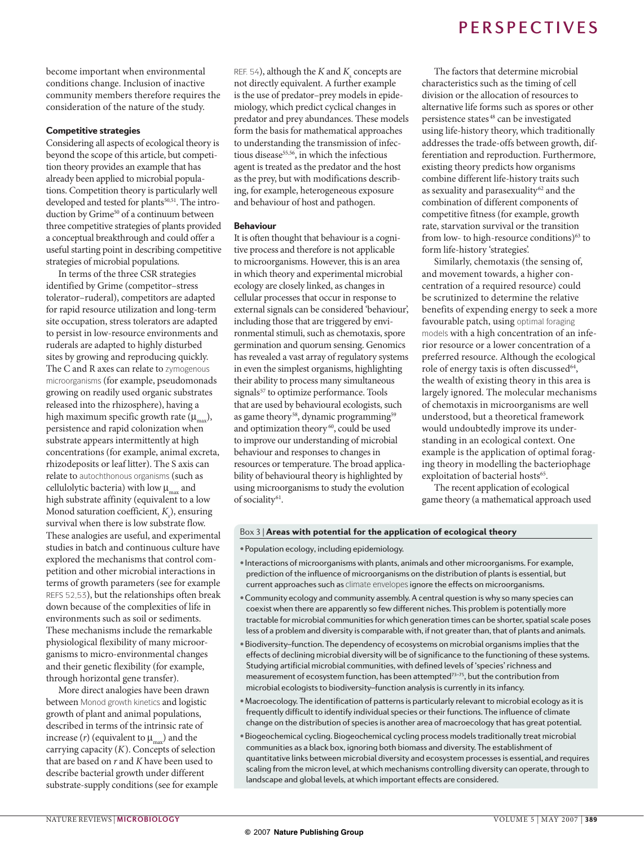become important when environmental conditions change. Inclusion of inactive community members therefore requires the consideration of the nature of the study.

## Competitive strategies

Considering all aspects of ecological theory is beyond the scope of this article, but competition theory provides an example that has already been applied to microbial populations. Competition theory is particularly well developed and tested for plants<sup>50,51</sup>. The introduction by Grime<sup>50</sup> of a continuum between three competitive strategies of plants provided a conceptual breakthrough and could offer a useful starting point in describing competitive strategies of microbial populations.

In terms of the three CSR strategies identified by Grime (competitor–stress tolerator–ruderal), competitors are adapted for rapid resource utilization and long-term site occupation, stress tolerators are adapted to persist in low-resource environments and ruderals are adapted to highly disturbed sites by growing and reproducing quickly. The C and R axes can relate to zymogenous microorganisms (for example, pseudomonads growing on readily used organic substrates released into the rhizosphere), having a high maximum specific growth rate ( $\propto_{\text{max}}$ ), persistence and rapid colonization when substrate appears intermittently at high concentrations (for example, animal excreta, rhizodeposits or leaf litter). The S axis can relate to autochthonous organisms (such as cellulolytic bacteria) with low  $\propto$ <sub>max</sub> and high substrate affinity (equivalent to a low Monod saturation coefficient,  $K_{\!\scriptscriptstyle\rm g}$ ), ensuring survival when there is low substrate flow. These analogies are useful, and experimental studies in batch and continuous culture have explored the mechanisms that control competition and other microbial interactions in terms of growth parameters (see for example REFS 52,53), but the relationships often break down because of the complexities of life in environments such as soil or sediments. These mechanisms include the remarkable physiological flexibility of many microorganisms to micro-environmental changes and their genetic flexibility (for example, through horizontal gene transfer).

More direct analogies have been drawn between Monod growth kinetics and logistic growth of plant and animal populations, described in terms of the intrinsic rate of increase (*r*) (equivalent to  $\propto_{\text{max}}$ ) and the carrying capacity  $(K)$ . Concepts of selection that are based on  $r$  and  $K$  have been used to describe bacterial growth under different substrate-supply conditions (see for example REF. 54), although the  $K$  and  $K$  concepts are not directly equivalent. A further example is the use of predator–prey models in epidemiology, which predict cyclical changes in predator and prey abundances. These models form the basis for mathematical approaches to understanding the transmission of infectious disease<sup>55,56</sup>, in which the infectious agent is treated as the predator and the host as the prey, but with modifications describing, for example, heterogeneous exposure and behaviour of host and pathogen.

### Behaviour

It is often thought that behaviour is a cognitive process and therefore is not applicable to microorganisms. However, this is an area in which theory and experimental microbial ecology are closely linked, as changes in cellular processes that occur in response to external signals can be considered 'behaviour', including those that are triggered by environmental stimuli, such as chemotaxis, spore germination and quorum sensing. Genomics has revealed a vast array of regulatory systems in even the simplest organisms, highlighting their ability to process many simultaneous signals<sup>57</sup> to optimize performance. Tools that are used by behavioural ecologists, such as game theory<sup>58</sup>, dynamic programming<sup>59</sup> and optimization theory<sup>60</sup>, could be used to improve our understanding of microbial behaviour and responses to changes in resources or temperature. The broad applicability of behavioural theory is highlighted by using microorganisms to study the evolution of sociality<sup>61</sup>.

# **P F R S P E C T I V E S**

The factors that determine microbial characteristics such as the timing of cell division or the allocation of resources to alternative life forms such as spores or other persistence states<sup>48</sup> can be investigated using life-history theory, which traditionally addresses the trade-offs between growth, differentiation and reproduction. Furthermore, existing theory predicts how organisms combine different life-history traits such as sexuality and parasexuality<sup>62</sup> and the combination of different components of competitive fitness (for example, growth rate, starvation survival or the transition from low- to high-resource conditions)<sup>63</sup> to form life-history 'strategies'.

Similarly, chemotaxis (the sensing of, and movement towards, a higher concentration of a required resource) could be scrutinized to determine the relative benefits of expending energy to seek a more favourable patch, using optimal foraging models with a high concentration of an inferior resource or a lower concentration of a preferred resource. Although the ecological role of energy taxis is often discussed<sup>64</sup>, the wealth of existing theory in this area is largely ignored. The molecular mechanisms of chemotaxis in microorganisms are well understood, but a theoretical framework would undoubtedly improve its understanding in an ecological context. One example is the application of optimal foraging theory in modelling the bacteriophage exploitation of bacterial hosts<sup>65</sup>.

The recent application of ecological game theory (a mathematical approach used

### Box 3 | Areas with potential for the application of ecological theory

- Population ecology, including epidemiology.
- Interactions of microorganisms with plants, animals and other microorganisms. For example, prediction of the influence of microorganisms on the distribution of plants is essential, but current approaches such as climate envelopes ignore the effects on microorganisms.
- Community ecology and community assembly.Acentral question is why so many species can coexist when there are apparently so few different niches. This problem is potentially more tractable for microbial communities for which generation times can be shorter, spatial scale poses less of a problem and diversity is comparable with, if not greater than, that of plants and animals.
- Biodiversity-function. The dependency of ecosystems on microbial organisms implies that the effects of declining microbial diversity will be of significance to the functioning of these systems. Studying artificial microbial communities, with defined levels of 'species' richness and measurement of ecosystem function, has been attempted<sup>73-75</sup>, but the contribution from microbial ecologists to biodiversity-function analysis is currently in its infancy.
- Macroecology. The identification of patterns is particularly relevant to microbial ecology as it is frequently difficult to identify individual species or their functions. The influence of climate change on the distribution ofspeciesis another area of macroecology that has great potential.
- Biogeochemical cycling. Biogeochemical cycling process models traditionally treat microbial communities as a black box, ignoring both biomass and diversity. The establishment of quantitative links between microbial diversity and ecosystem processesis essential, and requires scaling from the micron level, at which mechanisms controlling diversity can operate, through to landscape and global levels, at which important effects are considered.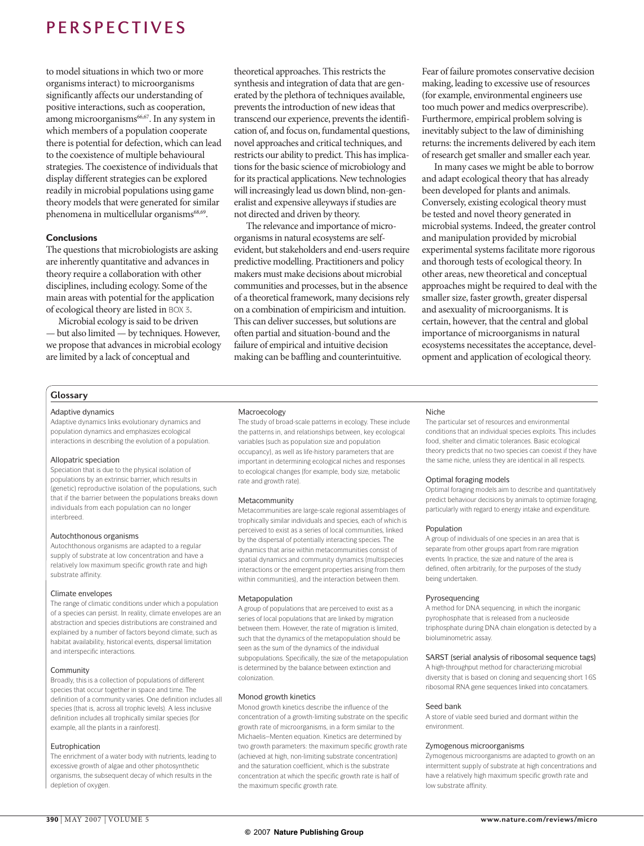to model situations in which two or more organisms interact) to microorganisms significantly affects our understanding of positive interactions, such as cooperation, among microorganisms66,67 . In any system in which members of a population cooperate there is potential for defection, which can lead to the coexistence of multiple behavioural strategies. The coexistence of individuals that display different strategies can be explored readily in microbial populations using game theory models that were generated for similar phenomena in multicellular organisms<sup>68,69</sup>.

### **Conclusions**

The questions that microbiologists are asking are inherently quantitative and advances in theory require a collaboration with other disciplines, including ecology. Some of the main areas with potential for the application of ecological theory are listed in BOX 3.

Microbial ecology is said to be driven — but also limited — by techniques. However, we propose that advances in microbial ecology are limited by a lack of conceptual and

theoretical approaches. This restricts the synthesis and integration of data that are generated by the plethora of techniques available, prevents the introduction of new ideas that transcend our experience, prevents the identification of, and focus on, fundamental questions, novel approaches and critical techniques, and restricts our ability to predict. This hasimplications for the basic science of microbiology and for its practical applications. New technologies will increasingly lead us down blind, non-generalist and expensive alleyways if studies are not directed and driven by theory.

The relevance and importance of microorganisms in natural ecosystems are selfevident, but stakeholders and end-users require predictive modelling. Practitioners and policy makers must make decisions about microbial communities and processes, but in the absence of a theoretical framework, many decisions rely on a combination of empiricism and intuition. This can deliver successes, but solutions are often partial and situation-bound and the failure of empirical and intuitive decision making can be baffling and counterintuitive.

Fear of failure promotes conservative decision making, leading to excessive use of resources (for example, environmental engineers use too much power and medics overprescribe). Furthermore, empirical problem solving is inevitably subject to the law of diminishing returns: the increments delivered by each item of research get smaller and smaller each year.

In many cases we might be able to borrow and adapt ecological theory that has already been developed for plants and animals. Conversely, existing ecological theory must be tested and novel theory generated in microbial systems. Indeed, the greater control and manipulation provided by microbial experimental systems facilitate more rigorous and thorough tests of ecological theory. In other areas, new theoretical and conceptual approaches might be required to deal with the smaller size, faster growth, greater dispersal and asexuality of microorganisms. It is certain, however, that the central and global importance of microorganisms in natural ecosystems necessitates the acceptance, development and application of ecological theory.

### **Glossary**

### Adaptive dynamics

Adaptive dynamics links evolutionary dynamics and population dynamics and emphasizes ecological interactions in describing the evolution of a population.

#### Allopatric speciation

Speciation that is due to the physical isolation of populations by an extrinsic barrier, which results in (genetic) reproductive isolation of the populations, such that if the barrier between the populations breaks down individuals from each population can no longer interbreed.

#### Autochthonous organisms

Autochthonous organisms are adapted to a regular supply of substrate at low concentration and have a relatively low maximum specific growth rate and high substrate affinity.

#### Climate envelopes

The range of climatic conditions under which a population of a species can persist. In reality, climate envelopes are an abstraction and species distributions are constrained and explained by a number of factors beyond climate, such as habitat availability, historical events, dispersal limitation and interspecific interactions.

#### Community

Broadly, this is a collection of populations of different species that occur together in space and time. The definition of a community varies. One definition includes all species (that is, across all trophic levels). A less inclusive definition includes all trophically similar species (for example, all the plants in a rainforest).

#### Eutrophication

The enrichment of a water body with nutrients, leading to excessive growth of algae and other photosynthetic organisms, the subsequent decay of which results in the depletion of oxygen.

#### Macroecology

The study of broad-scale patterns in ecology. These include the patterns in, and relationships between, key ecological variables (such as population size and population occupancy), as well as life-history parameters that are important in determining ecological niches and responses to ecological changes (for example, body size, metabolic rate and growth rate).

#### Metacommunity

Metacommunities are large-scale regional assemblages of trophically similar individuals and species, each of which is perceived to exist as a series of local communities, linked by the dispersal of potentially interacting species. The dynamics that arise within metacommunities consist of spatial dynamics and community dynamics (multispecies interactions or the emergent properties arising from them within communities), and the interaction between them.

#### Metapopulation

A group of populations that are perceived to exist as a series of local populations that are linked by migration between them. However, the rate of migration is limited, such that the dynamics of the metapopulation should be seen as the sum of the dynamics of the individual subpopulations. Specifically, the size of the metapopulation is determined by the balance between extinction and colonization.

#### Monod growth kinetics

Monod growth kinetics describe the influence of the concentration of a growth-limiting substrate on the specific growth rate of microorganisms, in a form similar to the Michaelis–Menten equation. Kinetics are determined by two growth parameters: the maximum specific growth rate (achieved at high, non-limiting substrate concentration) and the saturation coefficient, which is the substrate concentration at which the specific growth rate is half of the maximum specific growth rate.

#### Niche

The particular set of resources and environmental conditions that an individual species exploits. This includes food, shelter and climatic tolerances. Basic ecological theory predicts that no two species can coexist if they have the same niche, unless they are identical in all respects.

#### Optimal foraging models

Optimal foraging models aim to describe and quantitatively predict behaviour decisions by animals to optimize foraging, particularly with regard to energy intake and expenditure.

#### Population

A group of individuals of one species in an area that is separate from other groups apart from rare migration events. In practice, the size and nature of the area is defined, often arbitrarily, for the purposes of the study being undertaken.

#### Pyrosequencing

A method for DNA sequencing, in which the inorganic pyrophosphate that is released from a nucleoside triphosphate during DNA chain elongation is detected by a bioluminometric assay.

#### SARST (serial analysis of ribosomal sequence tags)

A high-throughput method for characterizing microbial diversity that is based on cloning and sequencing short 16S ribosomal RNA gene sequences linked into concatamers.

#### Seed bank

A store of viable seed buried and dormant within the environment.

#### Zymogenous microorganisms

Zymogenous microorganisms are adapted to growth on an intermittent supply of substrate at high concentrations and have a relatively high maximum specific growth rate and low substrate affinity.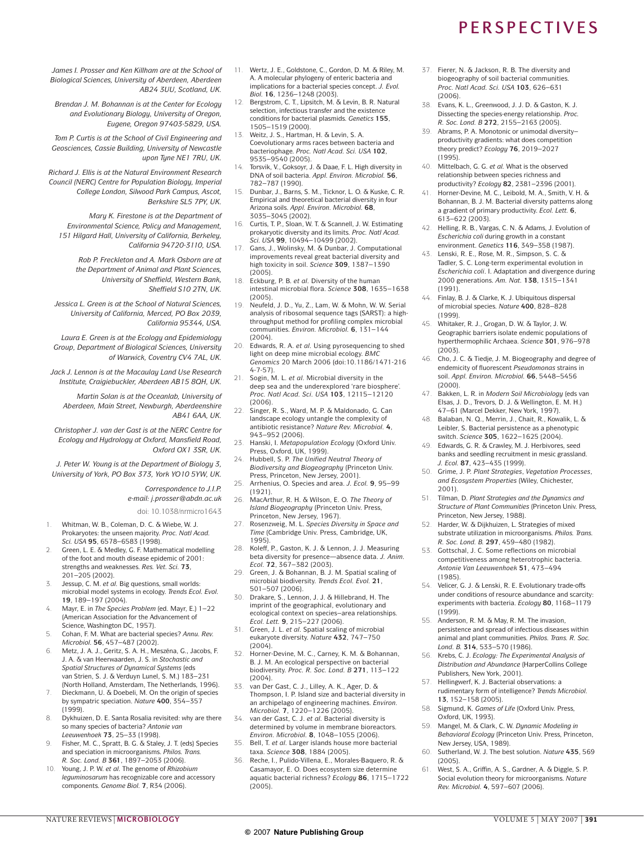# **P F R S P E C T I V E S**

*James I. Prosser and Ken Killham are at the School of Biological Sciences, University of Aberdeen, Aberdeen AB24 3UU, Scotland, UK.*

*Brendan J. M. Bohannan is at the Center for Ecology and Evolutionary Biology, University of Oregon, Eugene, Oregon 97403-5829, USA.*

*Tom P. Curtis is at the School of Civil Engineering and Geosciences, Cassie Building, University of Newcastle upon Tyne NE1 7RU, UK.*

*Richard J. Ellis is at the Natural Environment Research Council (NERC) Centre for Population Biology, Imperial College London, Silwood Park Campus, Ascot, Berkshire SL5 7PY, UK.*

*Mary K. Firestone is at the Department of Environmental Science, Policy and Management, 151 Hilgard Hall, University of California, Berkeley, California 94720-3110, USA.*

*Rob P. Freckleton and A. Mark Osborn are at the Department of Animal and Plant Sciences, University of Sheffield, Western Bank, Sheffield S10 2TN, UK.*

*Jessica L. Green is at the School of Natural Sciences, University of California, Merced, PO Box 2039, California 95344, USA.*

*Laura E. Green is at the Ecology and Epidemiology Group, Department of Biological Sciences, University of Warwick, Coventry CV4 7AL, UK.*

*Jack J. Lennon is at the Macaulay Land Use Research Institute, Craigiebuckler, Aberdeen AB15 8QH, UK.*

*Martin Solan is at the Oceanlab, University of Aberdeen, Main Street, Newburgh, Aberdeenshire AB41 6AA, UK.*

*Christopher J. van der Gast is at the NERC Centre for Ecology and Hydrology at Oxford, Mansfield Road, Oxford OX1 3SR, UK.*

*J. Peter W. Young is at the Department of Biology 3, University of York, PO Box 373, York YO10 5YW, UK.*

#### *Correspondence to J.I.P.*

*e-mail: j.prosser@abdn.ac.uk*

doi: 10.1038/nrmicro1643

- 1. Whitman, W. B., Coleman, D. C. & Wiebe, W. J. Prokaryotes: the unseen majority. *Proc. Natl Acad. Sci. USA* **95**, 6578–6583 (1998).
- 2. Green, L. E. & Medley, G. F. Mathematical modelling of the foot and mouth disease epidemic of 2001: strengths and weaknesses. *Res. Vet. Sci.* **73**, 201–205 (2002).
- 3. Jessup, C. M. *et al.* Big questions, small worlds: microbial model systems in ecology. *Trends Ecol. Evol.* **19**, 189–197 (2004).
- 4. Mayr, E. in *The Species Problem* (ed. Mayr, E.) 1–22 (American Association for the Advancement of Science, Washington DC, 1957).
- 5. Cohan, F. M. What are bacterial species? *Annu. Rev. Microbiol.* **56**, 457–487 (2002).
- 6. Metz, J. A. J., Geritz, S. A. H., Meszéna, G., Jacobs, F. J. A. & van Heerwaarden, J. S. in *Stochastic and Spatial Structures of Dynamical Systems* (eds van Strien, S. J. & Verduyn Lunel, S. M.) 183–231 (North Holland, Amsterdam, The Netherlands, 1996).
- 7. Dieckmann, U. & Doebeli, M. On the origin of species by sympatric speciation. *Nature* **400**, 354–357 (1999).
- 8. Dykhuizen, D. E. Santa Rosalia revisited: why are there so many species of bacteria? *Antonie van Leeuwenhoek* **73**, 25–33 (1998).
- 9. Fisher, M. C., Spratt, B. G. & Staley, J. T. (eds) Species and speciation in microorganisms. *Philos. Trans. R. Soc. Lond. B* **361**, 1897–2053 (2006).
- 10. Young, J. P. W. *et al.* The genome of *Rhizobium leguminosarum* has recognizable core and accessory components. *Genome Biol.* **7**, R34 (2006).
- 11. Wertz, J. E., Goldstone, C., Gordon, D. M. & Riley, M. A. A molecular phylogeny of enteric bacteria and implications for a bacterial species concept. *J. Evol. Biol.* **16**, 1236–1248 (2003).
- 12. Bergstrom, C. T., Lipsitch, M. & Levin, B. R. Natural selection, infectious transfer and the existence conditions for bacterial plasmids. *Genetics* **155**, 1505–1519 (2000).
- 13. Weitz, J. S., Hartman, H. & Levin, S. A. Coevolutionary arms races between bacteria and bacteriophage. *Proc. Natl Acad. Sci. USA* **102**, 9535–9540 (2005).
- 14. Torsvik, V., Goksoyr, J. & Daae, F. L. High diversity in DNA of soil bacteria. *Appl. Environ. Microbiol.* **56**, 782–787 (1990).
- 15. Dunbar, J., Barns, S. M., Ticknor, L. O. & Kuske, C. R. Empirical and theoretical bacterial diversity in four Arizona soils. *Appl. Environ. Microbiol.* **68**, 3035–3045 (2002).
- 16. Curtis, T. P., Sloan, W. T. & Scannell, J. W. Estimating prokaryotic diversity and its limits. *Proc. Natl Acad. Sci. USA* **99**, 10494–10499 (2002).
- 17. Gans, J., Wolinsky, M. & Dunbar, J. Computational improvements reveal great bacterial diversity and high toxicity in soil. *Science* **309**, 1387–1390 (2005).
- 18. Eckburg, P. B. *et al.* Diversity of the human intestinal microbial flora. *Science* **308**, 1635–1638 (2005).
- 19. Neufeld, J. D., Yu, Z., Lam, W. & Mohn, W. W. Serial analysis of ribosomal sequence tags (SARST): a highthroughput method for profiling complex microbial communities. *Environ. Microbiol.* **6**, 131–144 (2004).
- 20. Edwards, R. A. *et al.* Using pyrosequencing to shed light on deep mine microbial ecology. *BMC Genomics* 20 March 2006 (doi:10.1186/1471-216 4-7-57).
- 21. Sogin, M. L. *et al.* Microbial diversity in the deep sea and the underexplored 'rare biosphere'. *Proc. Natl Acad. Sci. USA* **103**, 12115–12120 (2006).
- 22. Singer, R. S., Ward, M. P. & Maldonado, G. Can landscape ecology untangle the complexity of antibiotic resistance? *Nature Rev. Microbiol.* **4**, 943–952 (2006).
- 23. Hanski, I. *Metapopulation Ecology* (Oxford Univ. Press, Oxford, UK, 1999).
- 24. Hubbell, S. P. *The Unified Neutral Theory of Biodiversity and Biogeography* (Princeton Univ. Press, Princeton, New Jersey, 2001).
- 25. Arrhenius, O. Species and area. *J. Ecol.* **9**, 95–99 (1921).
- 26. MacArthur, R. H. & Wilson, E. O. *The Theory of Island Biogeography* (Princeton Univ. Press, Princeton, New Jersey, 1967).
- 27. Rosenzweig, M. L. *Species Diversity in Space and Time* (Cambridge Univ. Press, Cambridge, UK, 1995).
- 28. Koleff, P., Gaston, K. J. & Lennon, J. J. Measuring beta diversity for presence—absence data. *J. Anim. Ecol.* **72**, 367–382 (2003).
- 29. Green, J. & Bohannan, B. J. M. Spatial scaling of microbial biodiversity. *Trends Ecol. Evol.* **21**, 501–507 (2006).
- 30. Drakare, S., Lennon, J. J. & Hillebrand, H. The imprint of the geographical, evolutionary and ecological context on species–area relationships. *Ecol. Lett.* **9**, 215–227 (2006).
- 31. Green, J. L. *et al.* Spatial scaling of microbial eukaryote diversity. *Nature* **432**, 747–750  $(2004)$ .
- 32. Horner-Devine, M. C., Carney, K. M. & Bohannan, B. J. M. An ecological perspective on bacterial biodiversity. *Proc. R. Soc. Lond. B* **271**, 113–122 (2004).
- 33. van Der Gast, C. J., Lilley, A. K., Ager, D. & Thompson, I. P. Island size and bacterial diversity in an archipelago of engineering machines. *Environ. Microbiol.* **7**, 1220–1226 (2005).
- 34. van der Gast, C. J. *et al.* Bacterial diversity is determined by volume in membrane bioreactors. *Environ. Microbiol.* **8**, 1048–1055 (2006).
- 35. Bell, T. *et al.* Larger islands house more bacterial taxa. *Science* **308**, 1884 (2005).
- 36. Reche, I., Pulido-Villena, E., Morales-Baquero, R. & Casamayor, E. O. Does ecosystem size determine aquatic bacterial richness? *Ecology* **86**, 1715–1722 (2005).
- 37. Fierer, N. & Jackson, R. B. The diversity and biogeography of soil bacterial communities. *Proc. Natl Acad. Sci. USA* **103**, 626–631 (2006).
- 38. Evans, K. L., Greenwood, J. J. D. & Gaston, K. J. Dissecting the species-energy relationship. *Proc. R. Soc. Lond. B* **272**, 2155–2163 (2005).
- 39. Abrams, P. A. Monotonic or unimodal diversity– productivity gradients: what does competition theory predict? *Ecology* **76**, 2019–2027 (1995).
- 40. Mittelbach, G. G. *et al.* What is the observed relationship between species richness and productivity? *Ecology* **82**, 2381–2396 (2001).
- 41. Horner-Devine, M. C., Leibold, M. A., Smith, V. H. & Bohannan, B. J. M. Bacterial diversity patterns along a gradient of primary productivity. *Ecol. Lett.* **6**, 613–622 (2003).
- 42. Helling, R. B., Vargas, C. N. & Adams, J. Evolution of *Escherichia coli* during growth in a constant environment. *Genetics* **116**, 349–358 (1987).
- 43. Lenski, R. E., Rose, M. R., Simpson, S. C. & Tadler, S. C. Long-term experimental evolution in *Escherichia coli*. I. Adaptation and divergence during 2000 generations. *Am. Nat.* **138**, 1315–1341 (1991).
- 44. Finlay, B. J. & Clarke, K. J. Ubiquitous dispersal of microbial species. *Nature* **400**, 828–828 (1999).
- 45. Whitaker, R. J., Grogan, D. W. & Taylor, J. W. Geographic barriers isolate endemic populations of hyperthermophilic Archaea. *Science* **301**, 976–978 (2003).
- 46. Cho, J. C. & Tiedje, J. M. Biogeography and degree of endemicity of fluorescent *Pseudomonas* strains in soil. *Appl. Environ. Microbiol.* **66**, 5448–5456 (2000).
- 47. Bakken, L. R. in *Modern Soil Microbiology* (eds van Elsas, J. D., Trevors, D. J. & Wellington, E. M. H.) 47–61 (Marcel Dekker, New York, 1997).
- 48. Balaban, N. Q., Merrin, J., Chait, R., Kowalik, L. & Leibler, S. Bacterial persistence as a phenotypic switch. *Science* **305**, 1622–1625 (2004).
- 49. Edwards, G. R. & Crawley, M. J. Herbivores, seed banks and seedling recruitment in mesic grassland. *J. Ecol.* **87**, 423–435 (1999).
- 50. Grime, J. P. *Plant Strategies*, *Vegetation Processes*, *and Ecosystem Properties* (Wiley, Chichester, 2001).
- 51. Tilman, D. *Plant Strategies and the Dynamics and Structure of Plant Communities* (Princeton Univ. Press, Princeton, New Jersey, 1988).
- Harder, W. & Dijkhuizen, L. Strategies of mixed substrate utilization in microorganisms. *Philos. Trans. R. Soc. Lond. B.* **297**, 459–480 (1982).
- 53. Gottschal, J. C. Some reflections on microbial competitiveness among heterotrophic bacteria. *Antonie Van Leeuwenhoek* **51**, 473–494 (1985).
- 54. Velicer, G. J. & Lenski, R. E. Evolutionary trade-offs under conditions of resource abundance and scarcity: experiments with bacteria. *Ecology* **80**, 1168–1179 (1999).
- 55. Anderson, R. M. & May, R. M. The invasion, persistence and spread of infectious diseases within animal and plant communities. *Philos. Trans. R. Soc. Lond. B.* **314**, 533–570 (1986).
- 56. Krebs, C. J. *Ecology: The Experimental Analysis of Distribution and Abundance* (HarperCollins College Publishers, New York, 2001).
- Hellingwerf, K. J. Bacterial observations: a rudimentary form of intelligence? *Trends Microbiol.* **13**, 152–158 (2005).
- 58. Sigmund, K. *Games of Life* (Oxford Univ. Press, Oxford, UK, 1993).
- 59. Mangel, M. & Clark, C. W. *Dynamic Modeling in Behavioral Ecology* (Princeton Univ. Press, Princeton, New Jersey, USA, 1989).
- 60. Sutherland, W. J. The best solution. *Nature* **435**, 569 (2005).
- 61. West, S. A., Griffin, A. S., Gardner, A. & Diggle, S. P. Social evolution theory for microorganisms. *Nature Rev. Microbiol.* **4**, 597–607 (2006).